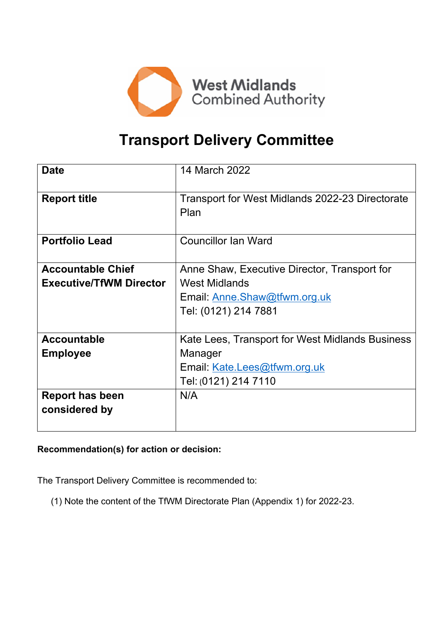

# **Transport Delivery Committee**

| <b>Date</b>                    | 14 March 2022                                           |
|--------------------------------|---------------------------------------------------------|
| <b>Report title</b>            | Transport for West Midlands 2022-23 Directorate<br>Plan |
| <b>Portfolio Lead</b>          | <b>Councillor Ian Ward</b>                              |
| <b>Accountable Chief</b>       | Anne Shaw, Executive Director, Transport for            |
| <b>Executive/TfWM Director</b> | <b>West Midlands</b>                                    |
|                                | Email: Anne.Shaw@tfwm.org.uk                            |
|                                | Tel: (0121) 214 7881                                    |
| <b>Accountable</b>             | Kate Lees, Transport for West Midlands Business         |
| <b>Employee</b>                | Manager                                                 |
|                                | Email: Kate.Lees@tfwm.org.uk                            |
|                                | Tel: (0121) 214 7110                                    |
| <b>Report has been</b>         | N/A                                                     |
| considered by                  |                                                         |

# **Recommendation(s) for action or decision:**

The Transport Delivery Committee is recommended to:

(1) Note the content of the TfWM Directorate Plan (Appendix 1) for 2022-23.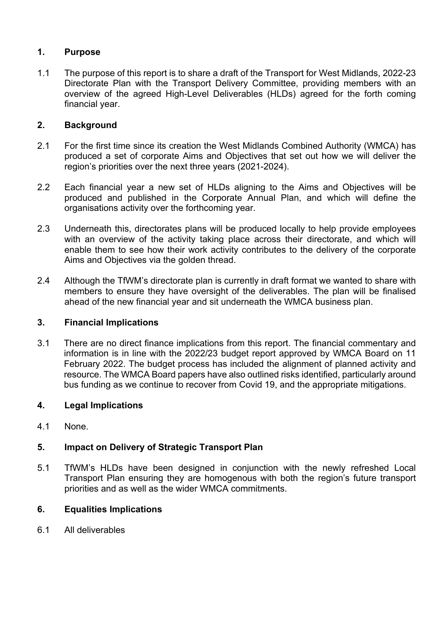# **1. Purpose**

1.1 The purpose of this report is to share a draft of the Transport for West Midlands, 2022-23 Directorate Plan with the Transport Delivery Committee, providing members with an overview of the agreed High-Level Deliverables (HLDs) agreed for the forth coming financial year.

## **2. Background**

- 2.1 For the first time since its creation the West Midlands Combined Authority (WMCA) has produced a set of corporate Aims and Objectives that set out how we will deliver the region's priorities over the next three years (2021-2024).
- 2.2 Each financial year a new set of HLDs aligning to the Aims and Objectives will be produced and published in the Corporate Annual Plan, and which will define the organisations activity over the forthcoming year.
- 2.3 Underneath this, directorates plans will be produced locally to help provide employees with an overview of the activity taking place across their directorate, and which will enable them to see how their work activity contributes to the delivery of the corporate Aims and Objectives via the golden thread.
- 2.4 Although the TfWM's directorate plan is currently in draft format we wanted to share with members to ensure they have oversight of the deliverables. The plan will be finalised ahead of the new financial year and sit underneath the WMCA business plan.

### **3. Financial Implications**

3.1 There are no direct finance implications from this report. The financial commentary and information is in line with the 2022/23 budget report approved by WMCA Board on 11 February 2022. The budget process has included the alignment of planned activity and resource. The WMCA Board papers have also outlined risks identified, particularly around bus funding as we continue to recover from Covid 19, and the appropriate mitigations.

### **4. Legal Implications**

4.1 None.

# **5. Impact on Delivery of Strategic Transport Plan**

5.1 TfWM's HLDs have been designed in conjunction with the newly refreshed Local Transport Plan ensuring they are homogenous with both the region's future transport priorities and as well as the wider WMCA commitments.

### **6. Equalities Implications**

6.1 All deliverables